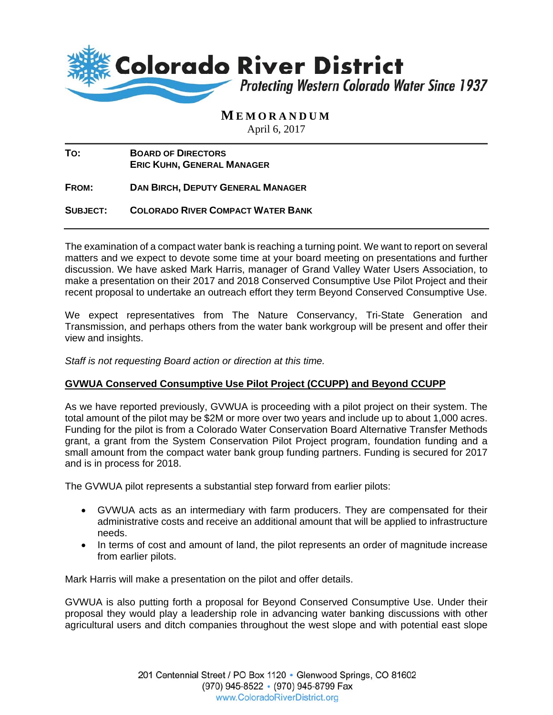

## **M EMORANDUM**

April 6, 2017

| To: | <b>BOARD OF DIRECTORS</b>         |
|-----|-----------------------------------|
|     | <b>ERIC KUHN, GENERAL MANAGER</b> |

**FROM: DAN BIRCH, DEPUTY GENERAL MANAGER**

**SUBJECT: COLORADO RIVER COMPACT WATER BANK** 

The examination of a compact water bank is reaching a turning point. We want to report on several matters and we expect to devote some time at your board meeting on presentations and further discussion. We have asked Mark Harris, manager of Grand Valley Water Users Association, to make a presentation on their 2017 and 2018 Conserved Consumptive Use Pilot Project and their recent proposal to undertake an outreach effort they term Beyond Conserved Consumptive Use.

We expect representatives from The Nature Conservancy, Tri-State Generation and Transmission, and perhaps others from the water bank workgroup will be present and offer their view and insights.

*Staff is not requesting Board action or direction at this time.* 

## **GVWUA Conserved Consumptive Use Pilot Project (CCUPP) and Beyond CCUPP**

As we have reported previously, GVWUA is proceeding with a pilot project on their system. The total amount of the pilot may be \$2M or more over two years and include up to about 1,000 acres. Funding for the pilot is from a Colorado Water Conservation Board Alternative Transfer Methods grant, a grant from the System Conservation Pilot Project program, foundation funding and a small amount from the compact water bank group funding partners. Funding is secured for 2017 and is in process for 2018.

The GVWUA pilot represents a substantial step forward from earlier pilots:

- GVWUA acts as an intermediary with farm producers. They are compensated for their administrative costs and receive an additional amount that will be applied to infrastructure needs.
- In terms of cost and amount of land, the pilot represents an order of magnitude increase from earlier pilots.

Mark Harris will make a presentation on the pilot and offer details.

GVWUA is also putting forth a proposal for Beyond Conserved Consumptive Use. Under their proposal they would play a leadership role in advancing water banking discussions with other agricultural users and ditch companies throughout the west slope and with potential east slope